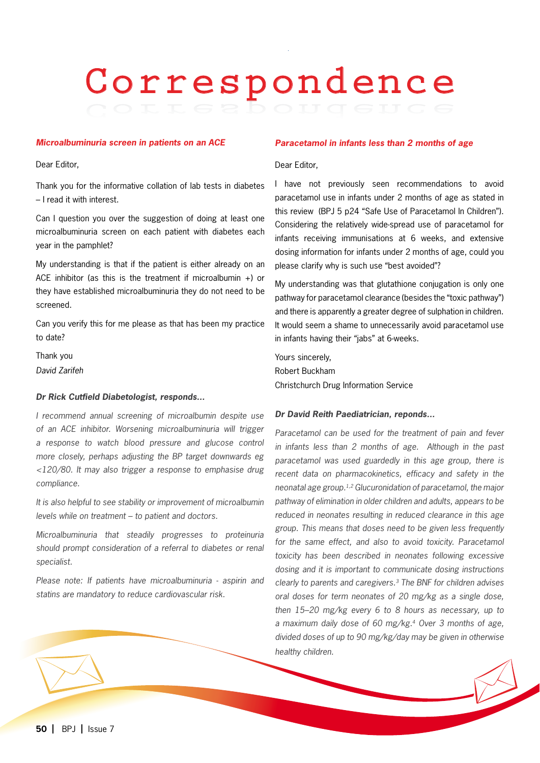# Correspondence

### *Microalbuminuria screen in patients on an ACE*

Dear Editor,

Thank you for the informative collation of lab tests in diabetes – I read it with interest.

Can I question you over the suggestion of doing at least one microalbuminuria screen on each patient with diabetes each year in the pamphlet?

My understanding is that if the patient is either already on an ACE inhibitor (as this is the treatment if microalbumin +) or they have established microalbuminuria they do not need to be screened.

Can you verify this for me please as that has been my practice to date?

Thank you *David Zarifeh*

### *Dr Rick Cutfield Diabetologist, responds...*

*I recommend annual screening of microalbumin despite use of an ACE inhibitor. Worsening microalbuminuria will trigger a response to watch blood pressure and glucose control more closely, perhaps adjusting the BP target downwards eg <120/80. It may also trigger a response to emphasise drug compliance.*

*It is also helpful to see stability or improvement of microalbumin levels while on treatment – to patient and doctors.* 

*Microalbuminuria that steadily progresses to proteinuria should prompt consideration of a referral to diabetes or renal specialist.* 

*Please note: If patients have microalbuminuria - aspirin and statins are mandatory to reduce cardiovascular risk.* 

## *Paracetamol in infants less than 2 months of age*

# Dear Editor,

I have not previously seen recommendations to avoid paracetamol use in infants under 2 months of age as stated in this review (BPJ 5 p24 "Safe Use of Paracetamol In Children"). Considering the relatively wide-spread use of paracetamol for infants receiving immunisations at 6 weeks, and extensive dosing information for infants under 2 months of age, could you please clarify why is such use "best avoided"?

My understanding was that glutathione conjugation is only one pathway for paracetamol clearance (besides the "toxic pathway") and there is apparently a greater degree of sulphation in children. It would seem a shame to unnecessarily avoid paracetamol use in infants having their "jabs" at 6-weeks.

Yours sincerely, Robert Buckham Christchurch Drug Information Service

### *Dr David Reith Paediatrician, reponds...*

*Paracetamol can be used for the treatment of pain and fever in infants less than 2 months of age. Although in the past paracetamol was used guardedly in this age group, there is recent data on pharmacokinetics, efficacy and safety in the neonatal age group.1,2 Glucuronidation of paracetamol, the major pathway of elimination in older children and adults, appears to be reduced in neonates resulting in reduced clearance in this age group. This means that doses need to be given less frequently*  for the same effect, and also to avoid toxicity. Paracetamol *toxicity has been described in neonates following excessive dosing and it is important to communicate dosing instructions clearly to parents and caregivers.3 The BNF for children advises oral doses for term neonates of 20 mg/kg as a single dose, then 15–20 mg/kg every 6 to 8 hours as necessary, up to a maximum daily dose of 60 mg/kg.4 Over 3 months of age, divided doses of up to 90 mg/kg/day may be given in otherwise healthy children.*